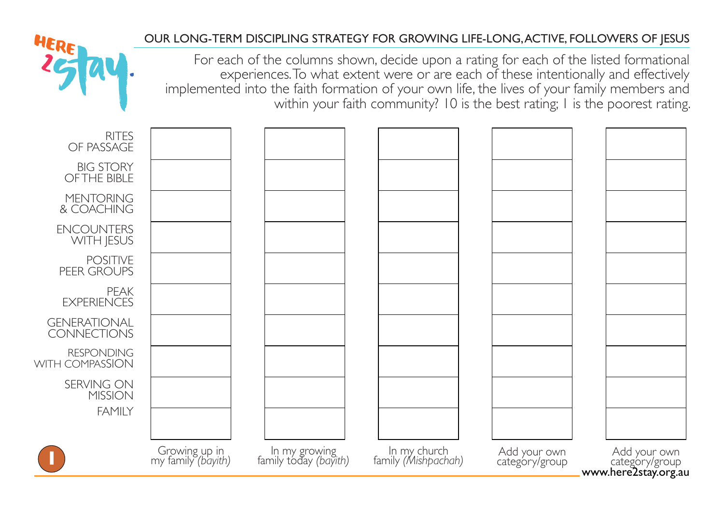## OUR LONG-TERM DISCIPLING STRATEGY FOR GROWING LIFE-LONG, ACTIVE, FOLLOWERS OF JESUS

For each of the columns shown, decide upon a rating for each of the listed formational experiences. To what extent were or are each of these intentionally and effectively implemented into the faith formation of your own life, the lives of your family members and within your faith community? 10 is the best rating; 1 is the poorest rating.

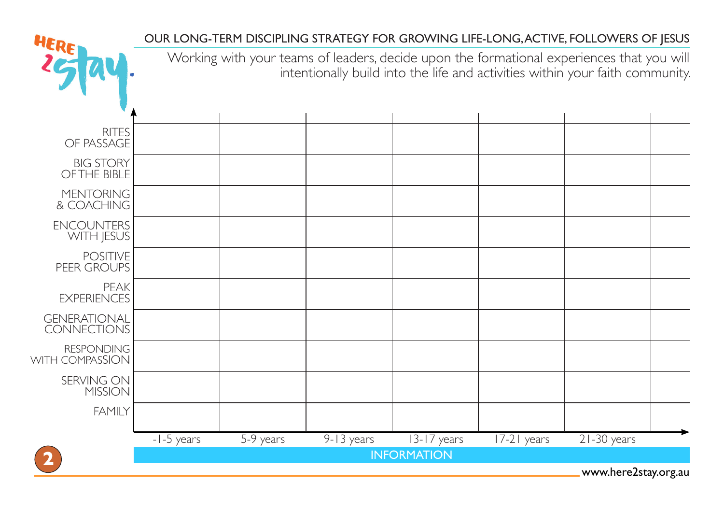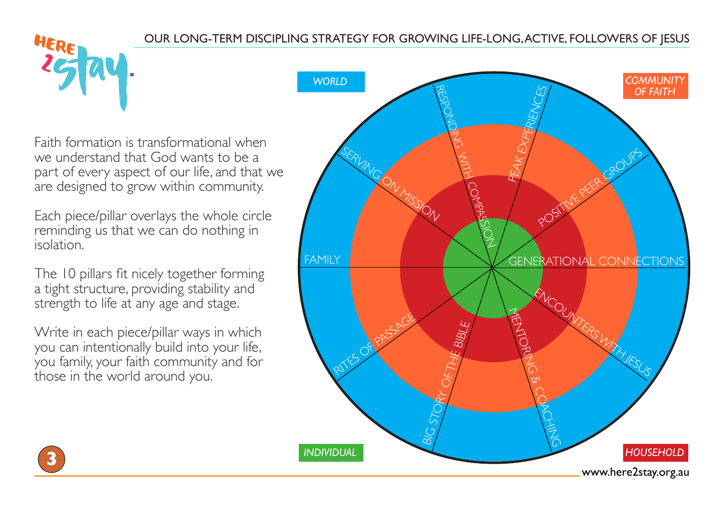Faith formation is transformational when we understand that God wants to be a part of every aspect of our life, and that we are designed to grow within community.

Each piece/pillar overlays the whole circle reminding us that we can do nothing in isolation.

The 10 pillars fit nicely together forming a tight structure, providing stability and strength to life at any age and stage.

Write in each piece/pillar ways in which you can intentionally build into your life, you family, your faith community and for those in the world around you.